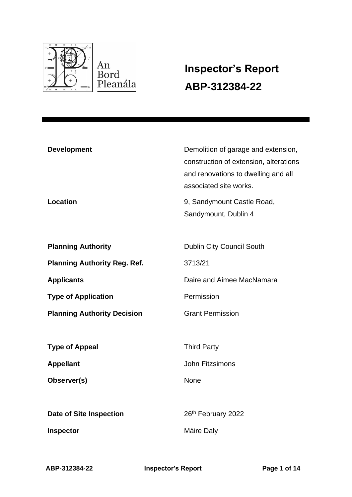

# **Inspector's Report ABP-312384-22**

| <b>Development</b><br>Location      | Demolition of garage and extension,<br>construction of extension, alterations<br>and renovations to dwelling and all<br>associated site works.<br>9, Sandymount Castle Road, |
|-------------------------------------|------------------------------------------------------------------------------------------------------------------------------------------------------------------------------|
|                                     | Sandymount, Dublin 4                                                                                                                                                         |
| <b>Planning Authority</b>           | Dublin City Council South                                                                                                                                                    |
| <b>Planning Authority Reg. Ref.</b> | 3713/21                                                                                                                                                                      |
| <b>Applicants</b>                   | Daire and Aimee MacNamara                                                                                                                                                    |
| <b>Type of Application</b>          | Permission                                                                                                                                                                   |
| <b>Planning Authority Decision</b>  | <b>Grant Permission</b>                                                                                                                                                      |
| <b>Type of Appeal</b>               | <b>Third Party</b>                                                                                                                                                           |
| <b>Appellant</b>                    | <b>John Fitzsimons</b>                                                                                                                                                       |
| Observer(s)                         | <b>None</b>                                                                                                                                                                  |
| <b>Date of Site Inspection</b>      | 26th February 2022                                                                                                                                                           |
| Inspector                           | Máire Daly                                                                                                                                                                   |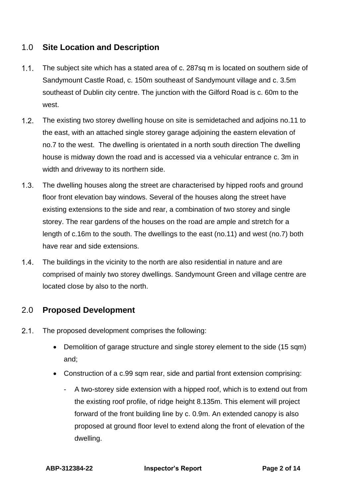# 1.0 **Site Location and Description**

- $1.1.$ The subject site which has a stated area of c. 287sq m is located on southern side of Sandymount Castle Road, c. 150m southeast of Sandymount village and c. 3.5m southeast of Dublin city centre. The junction with the Gilford Road is c. 60m to the west.
- $1.2.$ The existing two storey dwelling house on site is semidetached and adjoins no.11 to the east, with an attached single storey garage adjoining the eastern elevation of no.7 to the west. The dwelling is orientated in a north south direction The dwelling house is midway down the road and is accessed via a vehicular entrance c. 3m in width and driveway to its northern side.
- $1.3.$ The dwelling houses along the street are characterised by hipped roofs and ground floor front elevation bay windows. Several of the houses along the street have existing extensions to the side and rear, a combination of two storey and single storey. The rear gardens of the houses on the road are ample and stretch for a length of c.16m to the south. The dwellings to the east (no.11) and west (no.7) both have rear and side extensions.
- $1.4.$ The buildings in the vicinity to the north are also residential in nature and are comprised of mainly two storey dwellings. Sandymount Green and village centre are located close by also to the north.

# 2.0 **Proposed Development**

- $2.1.$ The proposed development comprises the following:
	- Demolition of garage structure and single storey element to the side (15 sqm) and;
	- Construction of a c.99 sqm rear, side and partial front extension comprising:
		- A two-storey side extension with a hipped roof, which is to extend out from the existing roof profile, of ridge height 8.135m. This element will project forward of the front building line by c. 0.9m. An extended canopy is also proposed at ground floor level to extend along the front of elevation of the dwelling.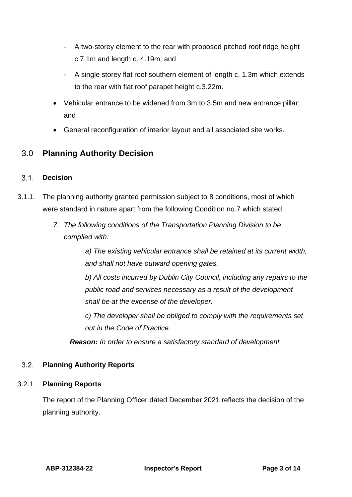- A two-storey element to the rear with proposed pitched roof ridge height c.7.1m and length c. 4.19m; and
- A single storey flat roof southern element of length c. 1.3m which extends to the rear with flat roof parapet height c.3.22m.
- Vehicular entrance to be widened from 3m to 3.5m and new entrance pillar; and
- General reconfiguration of interior layout and all associated site works.

# 3.0 **Planning Authority Decision**

### $3.1.$ **Decision**

- 3.1.1. The planning authority granted permission subject to 8 conditions, most of which were standard in nature apart from the following Condition no.7 which stated:
	- *7. The following conditions of the Transportation Planning Division to be complied with:*

*a) The existing vehicular entrance shall be retained at its current width, and shall not have outward opening gates.* 

*b) All costs incurred by Dublin City Council, including any repairs to the public road and services necessary as a result of the development shall be at the expense of the developer.* 

*c) The developer shall be obliged to comply with the requirements set out in the Code of Practice.*

 *Reason: In order to ensure a satisfactory standard of development*

### $3.2.$ **Planning Authority Reports**

### 3.2.1. **Planning Reports**

The report of the Planning Officer dated December 2021 reflects the decision of the planning authority.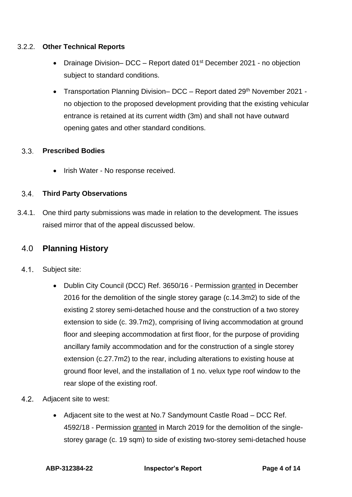### 3.2.2. **Other Technical Reports**

- Drainage Division– DCC Report dated  $01<sup>st</sup>$  December 2021 no objection subject to standard conditions.
- Transportation Planning Division– DCC Report dated 29<sup>th</sup> November 2021 no objection to the proposed development providing that the existing vehicular entrance is retained at its current width (3m) and shall not have outward opening gates and other standard conditions.

### $3.3.$ **Prescribed Bodies**

• Irish Water - No response received.

### $3.4.$ **Third Party Observations**

3.4.1. One third party submissions was made in relation to the development. The issues raised mirror that of the appeal discussed below.

# 4.0 **Planning History**

- $4.1.$ Subject site:
	- Dublin City Council (DCC) Ref. 3650/16 Permission granted in December 2016 for the demolition of the single storey garage (c.14.3m2) to side of the existing 2 storey semi-detached house and the construction of a two storey extension to side (c. 39.7m2), comprising of living accommodation at ground floor and sleeping accommodation at first floor, for the purpose of providing ancillary family accommodation and for the construction of a single storey extension (c.27.7m2) to the rear, including alterations to existing house at ground floor level, and the installation of 1 no. velux type roof window to the rear slope of the existing roof.
- $4.2.$ Adjacent site to west:
	- Adjacent site to the west at No.7 Sandymount Castle Road DCC Ref. 4592/18 - Permission granted in March 2019 for the demolition of the singlestorey garage (c. 19 sqm) to side of existing two-storey semi-detached house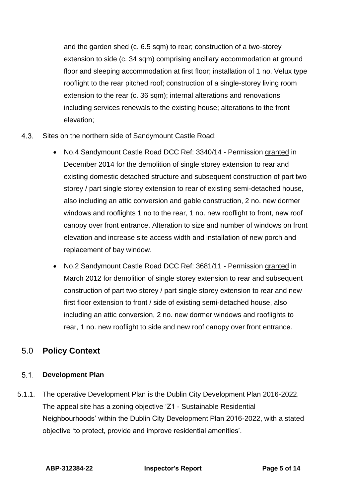and the garden shed (c. 6.5 sqm) to rear; construction of a two-storey extension to side (c. 34 sqm) comprising ancillary accommodation at ground floor and sleeping accommodation at first floor; installation of 1 no. Velux type rooflight to the rear pitched roof; construction of a single-storey living room extension to the rear (c. 36 sqm); internal alterations and renovations including services renewals to the existing house; alterations to the front elevation;

- $4.3.$ Sites on the northern side of Sandymount Castle Road:
	- No.4 Sandymount Castle Road DCC Ref: 3340/14 Permission granted in December 2014 for the demolition of single storey extension to rear and existing domestic detached structure and subsequent construction of part two storey / part single storey extension to rear of existing semi-detached house, also including an attic conversion and gable construction, 2 no. new dormer windows and rooflights 1 no to the rear, 1 no. new rooflight to front, new roof canopy over front entrance. Alteration to size and number of windows on front elevation and increase site access width and installation of new porch and replacement of bay window.
	- No.2 Sandymount Castle Road DCC Ref: 3681/11 Permission granted in March 2012 for demolition of single storey extension to rear and subsequent construction of part two storey / part single storey extension to rear and new first floor extension to front / side of existing semi-detached house, also including an attic conversion, 2 no. new dormer windows and rooflights to rear, 1 no. new rooflight to side and new roof canopy over front entrance.

# 5.0 **Policy Context**

### $5.1.$ **Development Plan**

5.1.1. The operative Development Plan is the Dublin City Development Plan 2016-2022. The appeal site has a zoning objective 'Z1 - Sustainable Residential Neighbourhoods' within the Dublin City Development Plan 2016-2022, with a stated objective 'to protect, provide and improve residential amenities'.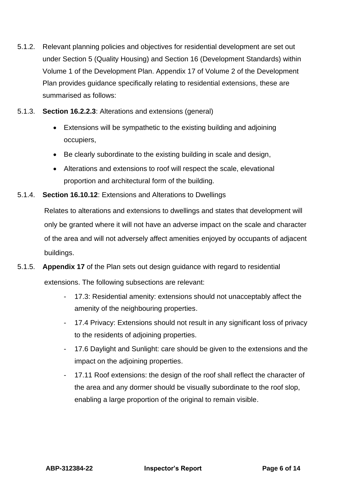- 5.1.2. Relevant planning policies and objectives for residential development are set out under Section 5 (Quality Housing) and Section 16 (Development Standards) within Volume 1 of the Development Plan. Appendix 17 of Volume 2 of the Development Plan provides guidance specifically relating to residential extensions, these are summarised as follows:
- 5.1.3. **Section 16.2.2.3**: Alterations and extensions (general)
	- Extensions will be sympathetic to the existing building and adjoining occupiers,
	- Be clearly subordinate to the existing building in scale and design,
	- Alterations and extensions to roof will respect the scale, elevational proportion and architectural form of the building.
- 5.1.4. **Section 16.10.12**: Extensions and Alterations to Dwellings

Relates to alterations and extensions to dwellings and states that development will only be granted where it will not have an adverse impact on the scale and character of the area and will not adversely affect amenities enjoyed by occupants of adjacent buildings.

5.1.5. **Appendix 17** of the Plan sets out design guidance with regard to residential

extensions. The following subsections are relevant:

- 17.3: Residential amenity: extensions should not unacceptably affect the amenity of the neighbouring properties.
- 17.4 Privacy: Extensions should not result in any significant loss of privacy to the residents of adjoining properties.
- 17.6 Daylight and Sunlight: care should be given to the extensions and the impact on the adjoining properties.
- 17.11 Roof extensions: the design of the roof shall reflect the character of the area and any dormer should be visually subordinate to the roof slop, enabling a large proportion of the original to remain visible.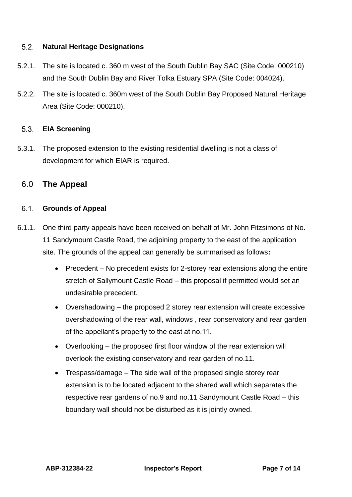#### $5.2.$ **Natural Heritage Designations**

- 5.2.1. The site is located c. 360 m west of the South Dublin Bay SAC (Site Code: 000210) and the South Dublin Bay and River Tolka Estuary SPA (Site Code: 004024).
- 5.2.2. The site is located c. 360m west of the South Dublin Bay Proposed Natural Heritage Area (Site Code: 000210).

#### $5.3.$ **EIA Screening**

5.3.1. The proposed extension to the existing residential dwelling is not a class of development for which EIAR is required.

# 6.0 **The Appeal**

### **Grounds of Appeal**

- 6.1.1. One third party appeals have been received on behalf of Mr. John Fitzsimons of No. 11 Sandymount Castle Road, the adjoining property to the east of the application site. The grounds of the appeal can generally be summarised as follows**:**
	- Precedent No precedent exists for 2-storey rear extensions along the entire stretch of Sallymount Castle Road – this proposal if permitted would set an undesirable precedent.
	- Overshadowing the proposed 2 storey rear extension will create excessive overshadowing of the rear wall, windows , rear conservatory and rear garden of the appellant's property to the east at no.11.
	- Overlooking the proposed first floor window of the rear extension will overlook the existing conservatory and rear garden of no.11.
	- Trespass/damage The side wall of the proposed single storey rear extension is to be located adjacent to the shared wall which separates the respective rear gardens of no.9 and no.11 Sandymount Castle Road – this boundary wall should not be disturbed as it is jointly owned.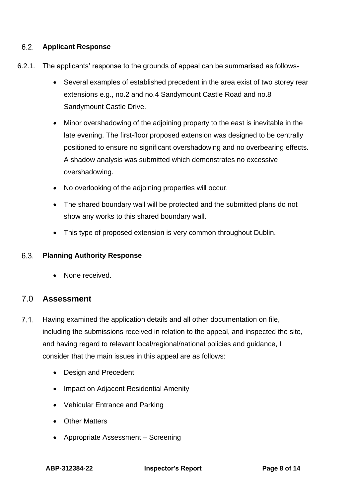### $6.2.$ **Applicant Response**

- 6.2.1. The applicants' response to the grounds of appeal can be summarised as follows-
	- Several examples of established precedent in the area exist of two storey rear extensions e.g., no.2 and no.4 Sandymount Castle Road and no.8 Sandymount Castle Drive.
	- Minor overshadowing of the adjoining property to the east is inevitable in the late evening. The first-floor proposed extension was designed to be centrally positioned to ensure no significant overshadowing and no overbearing effects. A shadow analysis was submitted which demonstrates no excessive overshadowing.
	- No overlooking of the adjoining properties will occur.
	- The shared boundary wall will be protected and the submitted plans do not show any works to this shared boundary wall.
	- This type of proposed extension is very common throughout Dublin.

### 6.3. **Planning Authority Response**

• None received.

# 7.0 **Assessment**

- $7.1.$ Having examined the application details and all other documentation on file, including the submissions received in relation to the appeal, and inspected the site, and having regard to relevant local/regional/national policies and guidance, I consider that the main issues in this appeal are as follows:
	- Design and Precedent
	- Impact on Adjacent Residential Amenity
	- Vehicular Entrance and Parking
	- Other Matters
	- Appropriate Assessment Screening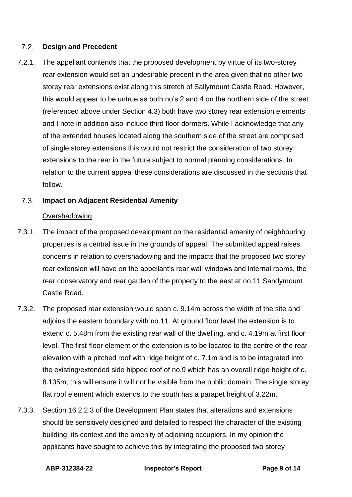#### $7.2.$ **Design and Precedent**

7.2.1. The appellant contends that the proposed development by virtue of its two-storey rear extension would set an undesirable precent in the area given that no other two storey rear extensions exist along this stretch of Sallymount Castle Road. However, this would appear to be untrue as both no's 2 and 4 on the northern side of the street (referenced above under Section 4.3) both have two storey rear extension elements and I note in addition also include third floor dormers. While I acknowledge that any of the extended houses located along the southern side of the street are comprised of single storey extensions this would not restrict the consideration of two storey extensions to the rear in the future subject to normal planning considerations. In relation to the current appeal these considerations are discussed in the sections that follow.

#### $7.3$ **Impact on Adjacent Residential Amenity**

### **Overshadowing**

- 7.3.1. The impact of the proposed development on the residential amenity of neighbouring properties is a central issue in the grounds of appeal. The submitted appeal raises concerns in relation to overshadowing and the impacts that the proposed two storey rear extension will have on the appellant's rear wall windows and internal rooms, the rear conservatory and rear garden of the property to the east at no.11 Sandymount Castle Road.
- 7.3.2. The proposed rear extension would span c. 9.14m across the width of the site and adjoins the eastern boundary with no.11. At ground floor level the extension is to extend c. 5.48m from the existing rear wall of the dwelling, and c. 4.19m at first floor level. The first-floor element of the extension is to be located to the centre of the rear elevation with a pitched roof with ridge height of c. 7.1m and is to be integrated into the existing/extended side hipped roof of no.9 which has an overall ridge height of c. 8.135m, this will ensure it will not be visible from the public domain. The single storey flat roof element which extends to the south has a parapet height of 3.22m.
- 7.3.3. Section 16.2.2.3 of the Development Plan states that alterations and extensions should be sensitively designed and detailed to respect the character of the existing building, its context and the amenity of adjoining occupiers. In my opinion the applicants have sought to achieve this by integrating the proposed two storey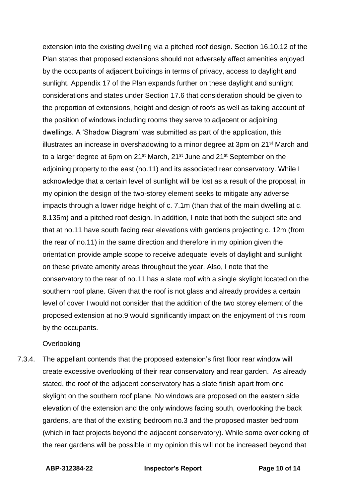extension into the existing dwelling via a pitched roof design. Section 16.10.12 of the Plan states that proposed extensions should not adversely affect amenities enjoyed by the occupants of adjacent buildings in terms of privacy, access to daylight and sunlight. Appendix 17 of the Plan expands further on these daylight and sunlight considerations and states under Section 17.6 that consideration should be given to the proportion of extensions, height and design of roofs as well as taking account of the position of windows including rooms they serve to adjacent or adjoining dwellings. A 'Shadow Diagram' was submitted as part of the application, this illustrates an increase in overshadowing to a minor degree at 3pm on 21<sup>st</sup> March and to a larger degree at 6pm on 21<sup>st</sup> March, 21<sup>st</sup> June and 21<sup>st</sup> September on the adjoining property to the east (no.11) and its associated rear conservatory. While I acknowledge that a certain level of sunlight will be lost as a result of the proposal, in my opinion the design of the two-storey element seeks to mitigate any adverse impacts through a lower ridge height of c. 7.1m (than that of the main dwelling at c. 8.135m) and a pitched roof design. In addition, I note that both the subject site and that at no.11 have south facing rear elevations with gardens projecting c. 12m (from the rear of no.11) in the same direction and therefore in my opinion given the orientation provide ample scope to receive adequate levels of daylight and sunlight on these private amenity areas throughout the year. Also, I note that the conservatory to the rear of no.11 has a slate roof with a single skylight located on the southern roof plane. Given that the roof is not glass and already provides a certain level of cover I would not consider that the addition of the two storey element of the proposed extension at no.9 would significantly impact on the enjoyment of this room by the occupants.

### **Overlooking**

7.3.4. The appellant contends that the proposed extension's first floor rear window will create excessive overlooking of their rear conservatory and rear garden. As already stated, the roof of the adjacent conservatory has a slate finish apart from one skylight on the southern roof plane. No windows are proposed on the eastern side elevation of the extension and the only windows facing south, overlooking the back gardens, are that of the existing bedroom no.3 and the proposed master bedroom (which in fact projects beyond the adjacent conservatory). While some overlooking of the rear gardens will be possible in my opinion this will not be increased beyond that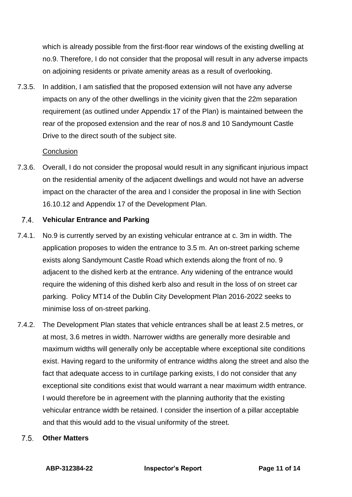which is already possible from the first-floor rear windows of the existing dwelling at no.9. Therefore, I do not consider that the proposal will result in any adverse impacts on adjoining residents or private amenity areas as a result of overlooking.

7.3.5. In addition, I am satisfied that the proposed extension will not have any adverse impacts on any of the other dwellings in the vicinity given that the 22m separation requirement (as outlined under Appendix 17 of the Plan) is maintained between the rear of the proposed extension and the rear of nos.8 and 10 Sandymount Castle Drive to the direct south of the subject site.

### **Conclusion**

7.3.6. Overall, I do not consider the proposal would result in any significant injurious impact on the residential amenity of the adjacent dwellings and would not have an adverse impact on the character of the area and I consider the proposal in line with Section 16.10.12 and Appendix 17 of the Development Plan.

#### $7.4.$ **Vehicular Entrance and Parking**

- 7.4.1. No.9 is currently served by an existing vehicular entrance at c. 3m in width. The application proposes to widen the entrance to 3.5 m. An on-street parking scheme exists along Sandymount Castle Road which extends along the front of no. 9 adjacent to the dished kerb at the entrance. Any widening of the entrance would require the widening of this dished kerb also and result in the loss of on street car parking. Policy MT14 of the Dublin City Development Plan 2016-2022 seeks to minimise loss of on-street parking.
- 7.4.2. The Development Plan states that vehicle entrances shall be at least 2.5 metres, or at most, 3.6 metres in width. Narrower widths are generally more desirable and maximum widths will generally only be acceptable where exceptional site conditions exist. Having regard to the uniformity of entrance widths along the street and also the fact that adequate access to in curtilage parking exists, I do not consider that any exceptional site conditions exist that would warrant a near maximum width entrance. I would therefore be in agreement with the planning authority that the existing vehicular entrance width be retained. I consider the insertion of a pillar acceptable and that this would add to the visual uniformity of the street.
	- $7.5$ **Other Matters**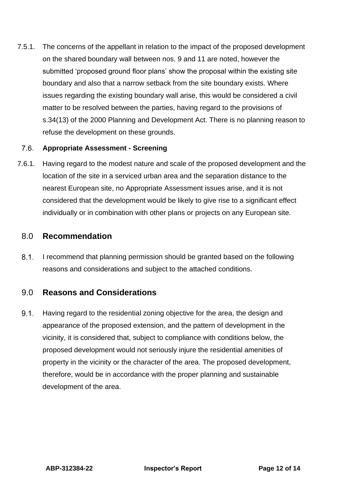7.5.1. The concerns of the appellant in relation to the impact of the proposed development on the shared boundary wall between nos. 9 and 11 are noted, however the submitted 'proposed ground floor plans' show the proposal within the existing site boundary and also that a narrow setback from the site boundary exists. Where issues regarding the existing boundary wall arise, this would be considered a civil matter to be resolved between the parties, having regard to the provisions of s.34(13) of the 2000 Planning and Development Act. There is no planning reason to refuse the development on these grounds.

#### $7.6.$ **Appropriate Assessment - Screening**

7.6.1. Having regard to the modest nature and scale of the proposed development and the location of the site in a serviced urban area and the separation distance to the nearest European site, no Appropriate Assessment issues arise, and it is not considered that the development would be likely to give rise to a significant effect individually or in combination with other plans or projects on any European site.

### 8.0 **Recommendation**

 $8.1.$ I recommend that planning permission should be granted based on the following reasons and considerations and subject to the attached conditions.

### 9.0 **Reasons and Considerations**

 $9.1.$ Having regard to the residential zoning objective for the area, the design and appearance of the proposed extension, and the pattern of development in the vicinity, it is considered that, subject to compliance with conditions below, the proposed development would not seriously injure the residential amenities of property in the vicinity or the character of the area. The proposed development, therefore, would be in accordance with the proper planning and sustainable development of the area.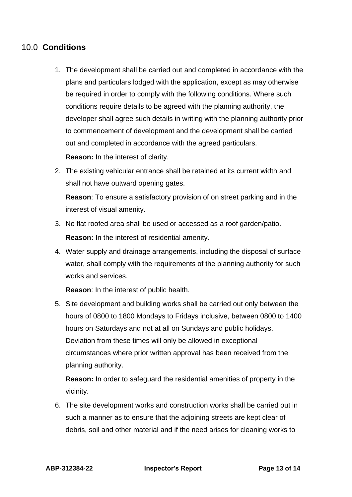# 10.0 **Conditions**

1. The development shall be carried out and completed in accordance with the plans and particulars lodged with the application, except as may otherwise be required in order to comply with the following conditions. Where such conditions require details to be agreed with the planning authority, the developer shall agree such details in writing with the planning authority prior to commencement of development and the development shall be carried out and completed in accordance with the agreed particulars.

**Reason:** In the interest of clarity.

2. The existing vehicular entrance shall be retained at its current width and shall not have outward opening gates.

**Reason**: To ensure a satisfactory provision of on street parking and in the interest of visual amenity.

- 3. No flat roofed area shall be used or accessed as a roof garden/patio. **Reason:** In the interest of residential amenity.
- 4. Water supply and drainage arrangements, including the disposal of surface water, shall comply with the requirements of the planning authority for such works and services.

**Reason**: In the interest of public health.

5. Site development and building works shall be carried out only between the hours of 0800 to 1800 Mondays to Fridays inclusive, between 0800 to 1400 hours on Saturdays and not at all on Sundays and public holidays. Deviation from these times will only be allowed in exceptional circumstances where prior written approval has been received from the planning authority.

**Reason:** In order to safeguard the residential amenities of property in the vicinity.

6. The site development works and construction works shall be carried out in such a manner as to ensure that the adjoining streets are kept clear of debris, soil and other material and if the need arises for cleaning works to